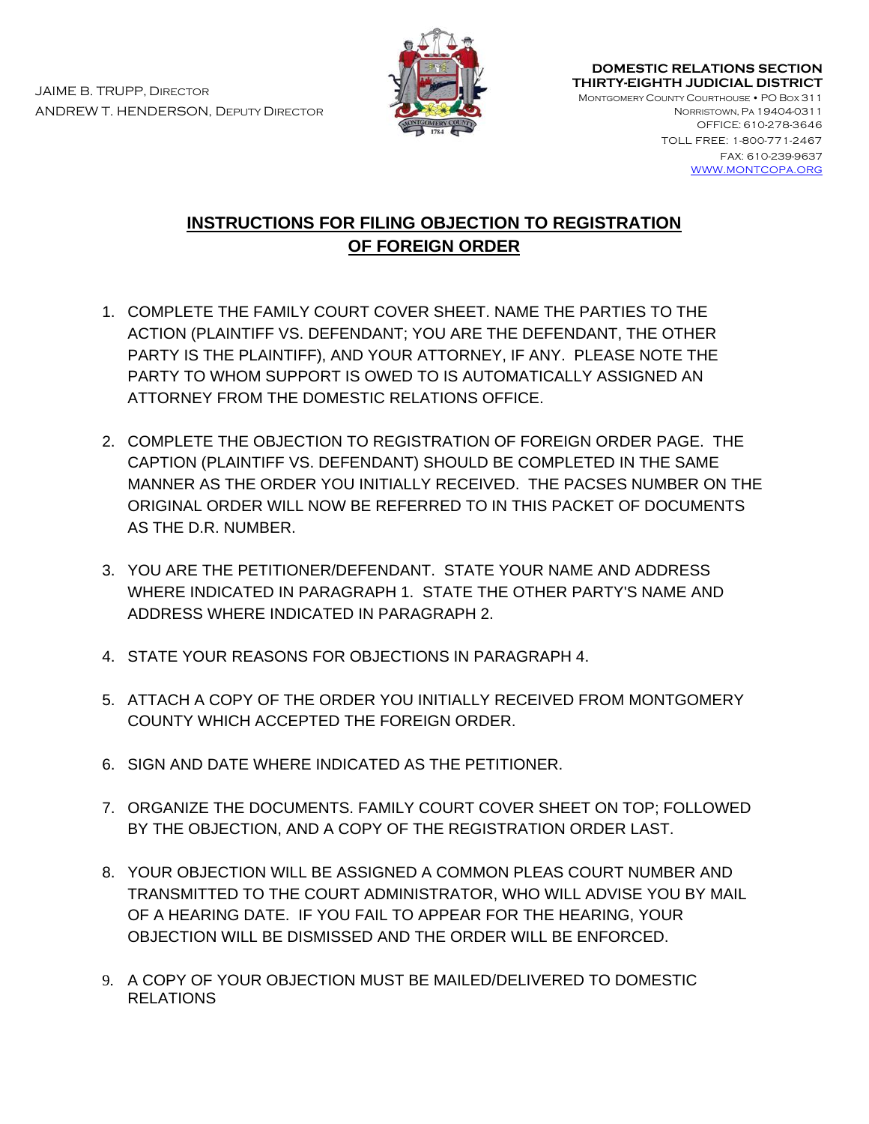

**DOMESTIC RELATIONS SECTION THIRTY-EIGHTH JUDICIAL DISTRICT** 

MONTGOMERY COUNTY COURTHOUSE • PO BOX 311 NORRISTOWN, PA 19404-0311 OFFICE: 610-278-3646

> TOLL FREE: 1-800-771-2467 FAX: 610-239-9637 [WWW.MONTCOPA.ORG](http://www.montcopa.org/)

# **INSTRUCTIONS FOR FILING OBJECTION TO REGISTRATION OF FOREIGN ORDER**

- 1. COMPLETE THE FAMILY COURT COVER SHEET. NAME THE PARTIES TO THE ACTION (PLAINTIFF VS. DEFENDANT; YOU ARE THE DEFENDANT, THE OTHER PARTY IS THE PLAINTIFF), AND YOUR ATTORNEY, IF ANY. PLEASE NOTE THE PARTY TO WHOM SUPPORT IS OWED TO IS AUTOMATICALLY ASSIGNED AN ATTORNEY FROM THE DOMESTIC RELATIONS OFFICE.
- 2. COMPLETE THE OBJECTION TO REGISTRATION OF FOREIGN ORDER PAGE. THE CAPTION (PLAINTIFF VS. DEFENDANT) SHOULD BE COMPLETED IN THE SAME MANNER AS THE ORDER YOU INITIALLY RECEIVED. THE PACSES NUMBER ON THE ORIGINAL ORDER WILL NOW BE REFERRED TO IN THIS PACKET OF DOCUMENTS AS THE D.R. NUMBER.
- 3. YOU ARE THE PETITIONER/DEFENDANT. STATE YOUR NAME AND ADDRESS WHERE INDICATED IN PARAGRAPH 1. STATE THE OTHER PARTY'S NAME AND ADDRESS WHERE INDICATED IN PARAGRAPH 2.
- 4. STATE YOUR REASONS FOR OBJECTIONS IN PARAGRAPH 4.
- 5. ATTACH A COPY OF THE ORDER YOU INITIALLY RECEIVED FROM MONTGOMERY COUNTY WHICH ACCEPTED THE FOREIGN ORDER.
- 6. SIGN AND DATE WHERE INDICATED AS THE PETITIONER.
- 7. ORGANIZE THE DOCUMENTS. FAMILY COURT COVER SHEET ON TOP; FOLLOWED BY THE OBJECTION, AND A COPY OF THE REGISTRATION ORDER LAST.
- 8. YOUR OBJECTION WILL BE ASSIGNED A COMMON PLEAS COURT NUMBER AND TRANSMITTED TO THE COURT ADMINISTRATOR, WHO WILL ADVISE YOU BY MAIL OF A HEARING DATE. IF YOU FAIL TO APPEAR FOR THE HEARING, YOUR OBJECTION WILL BE DISMISSED AND THE ORDER WILL BE ENFORCED.
- 9. A COPY OF YOUR OBJECTION MUST BE MAILED/DELIVERED TO DOMESTIC RELATIONS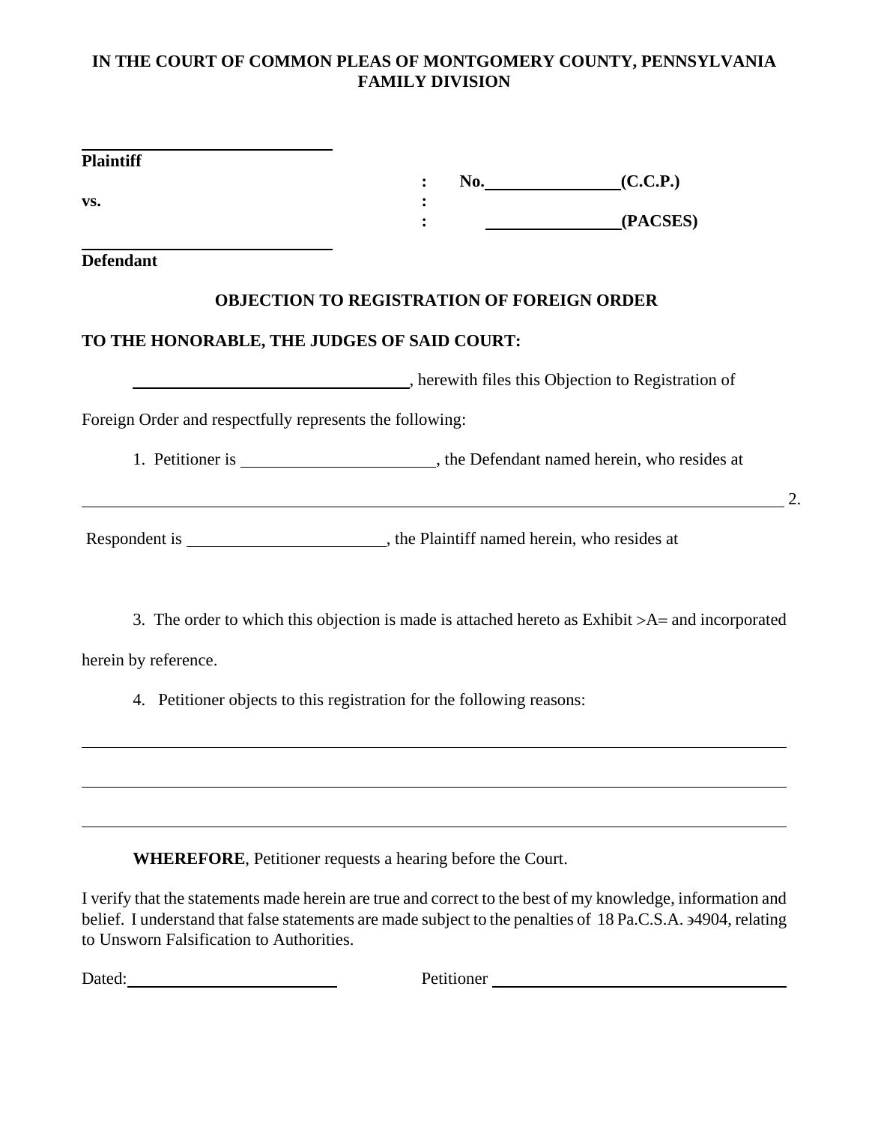#### **IN THE COURT OF COMMON PLEAS OF MONTGOMERY COUNTY, PENNSYLVANIA FAMILY DIVISION**

| <b>Plaintiff</b>                                                                                           |                                                   | $No.$ (C.C.P.)                                                                                     |
|------------------------------------------------------------------------------------------------------------|---------------------------------------------------|----------------------------------------------------------------------------------------------------|
| VS.                                                                                                        |                                                   |                                                                                                    |
|                                                                                                            |                                                   | (PACSES)                                                                                           |
| <b>Defendant</b>                                                                                           |                                                   |                                                                                                    |
|                                                                                                            | <b>OBJECTION TO REGISTRATION OF FOREIGN ORDER</b> |                                                                                                    |
| TO THE HONORABLE, THE JUDGES OF SAID COURT:                                                                |                                                   |                                                                                                    |
|                                                                                                            |                                                   | Therewith files this Objection to Registration of                                                  |
| Foreign Order and respectfully represents the following:                                                   |                                                   |                                                                                                    |
|                                                                                                            |                                                   |                                                                                                    |
|                                                                                                            |                                                   |                                                                                                    |
|                                                                                                            |                                                   | 3. The order to which this objection is made is attached hereto as Exhibit $>A$ = and incorporated |
| herein by reference.                                                                                       |                                                   |                                                                                                    |
| 4. Petitioner objects to this registration for the following reasons:                                      |                                                   |                                                                                                    |
|                                                                                                            |                                                   |                                                                                                    |
|                                                                                                            |                                                   |                                                                                                    |
| <b>WHEREFORE, Petitioner requests a hearing before the Court.</b>                                          |                                                   |                                                                                                    |
| I verify that the statements made herein are true and correct to the best of my knowledge, information and |                                                   |                                                                                                    |

2.

belief. I understand that false statements are made subject to the penalties of 18 Pa.C.S.A. ∋4904, relating to Unsworn Falsification to Authorities.

Dated: Petitioner Petitioner Petitioner Petitioner Petitioner Petitioner Petitioner Petitioner Petitioner Petitioner Petitioner Petitioner Petitioner Petitioner Petitioner Petitioner Petitioner Petitioner Petitioner Petiti